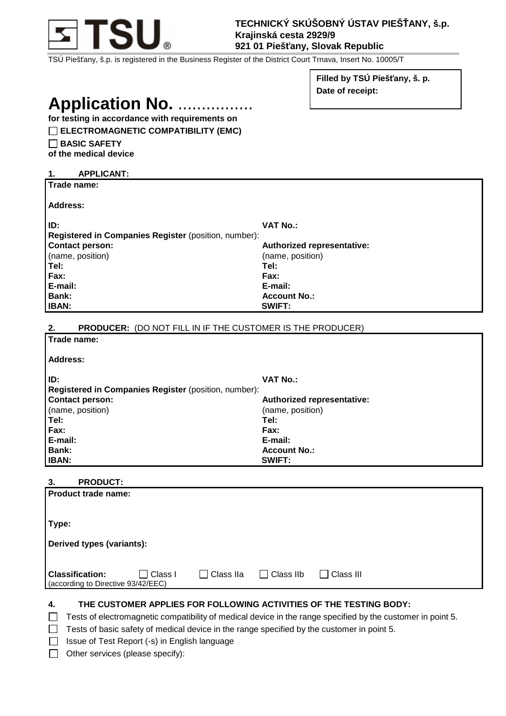

**TECHNICKÝ SKÚŠOBNÝ ÚSTAV PIEŠŤANY, š.p. Krajinská cesta 2929/9 921 01 Piešťany, Slovak Republic** 

TSÚ Piešťany, š.p. is registered in the Business Register of the District Court Trnava, Insert No. 10005/T

**Filled by TSÚ Piešťany, š. p. Date of receipt:** 

# **Application No. ...............**

**for testing in accordance with requirements on** 

# **ELECTROMAGNETIC COMPATIBILITY (EMC)**

**BASIC SAFETY** 

**of the medical device** 

| <b>APPLICANT:</b><br>1.                                                 |                            |
|-------------------------------------------------------------------------|----------------------------|
| Trade name:                                                             |                            |
|                                                                         |                            |
| Address:                                                                |                            |
| ID:                                                                     | <b>VAT No.:</b>            |
| Registered in Companies Register (position, number):                    |                            |
| <b>Contact person:</b>                                                  | Authorized representative: |
| (name, position)                                                        | (name, position)           |
| Tel:                                                                    | Tel:                       |
| Fax:                                                                    | Fax:                       |
| E-mail:                                                                 | E-mail:                    |
| <b>Bank:</b>                                                            | <b>Account No.:</b>        |
| <b>IBAN:</b>                                                            | SWIFT:                     |
|                                                                         |                            |
| <b>PRODUCER:</b> (DO NOT FILL IN IF THE CUSTOMER IS THE PRODUCER)<br>2. |                            |
| Trade name:                                                             |                            |
|                                                                         |                            |
| Address:                                                                |                            |
|                                                                         |                            |

| ID:                                                         | <b>VAT No.:</b>                   |
|-------------------------------------------------------------|-----------------------------------|
| <b>Registered in Companies Register (position, number):</b> |                                   |
| <b>Contact person:</b>                                      | <b>Authorized representative:</b> |
| (name, position)                                            | (name, position)                  |
| Tel:                                                        | Tel:                              |
| <b>Fax:</b>                                                 | Fax:                              |
| E-mail:                                                     | E-mail:                           |
| Bank:                                                       | <b>Account No.:</b>               |
| <b>IBAN:</b>                                                | <b>SWIFT:</b>                     |

# **3. PRODUCT:**

| Product trade name:                                                     |                  |                  |                  |  |
|-------------------------------------------------------------------------|------------------|------------------|------------------|--|
| Type:                                                                   |                  |                  |                  |  |
| Derived types (variants):                                               |                  |                  |                  |  |
| <b>Classification:</b><br>Class I<br>(according to Directive 93/42/EEC) | $\Box$ Class IIa | $\Box$ Class IIb | $\Box$ Class III |  |

### **4. THE CUSTOMER APPLIES FOR FOLLOWING ACTIVITIES OF THE TESTING BODY:**

 $\Box$  Tests of electromagnetic compatibility of medical device in the range specified by the customer in point 5.

 $\Box$  Tests of basic safety of medical device in the range specified by the customer in point 5.

- □ Issue of Test Report (-s) in English language
- $\Box$  Other services (please specify):